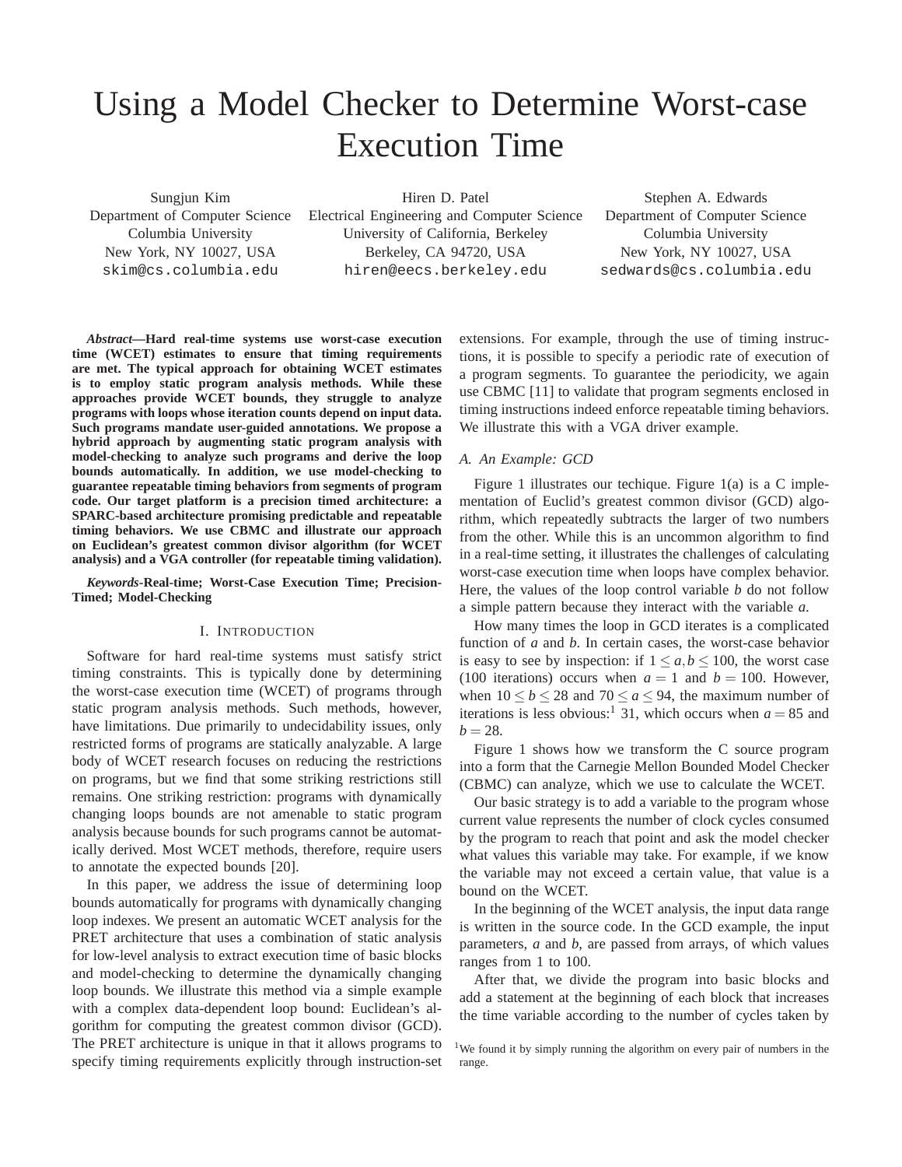# Using a Model Checker to Determine Worst-case Execution Time

Sungjun Kim Department of Computer Science Columbia University New York, NY 10027, USA skim@cs.columbia.edu

Hiren D. Patel Electrical Engineering and Computer Science University of California, Berkeley Berkeley, CA 94720, USA hiren@eecs.berkeley.edu

Stephen A. Edwards Department of Computer Science Columbia University New York, NY 10027, USA sedwards@cs.columbia.edu

*Abstract***—Hard real-time systems use worst-case execution time (WCET) estimates to ensure that timing requirements are met. The typical approach for obtaining WCET estimates is to employ static program analysis methods. While these approaches provide WCET bounds, they struggle to analyze programs with loops whose iteration counts depend on input data. Such programs mandate user-guided annotations. We propose a hybrid approach by augmenting static program analysis with model-checking to analyze such programs and derive the loop bounds automatically. In addition, we use model-checking to guarantee repeatable timing behaviors from segments of program code. Our target platform is a precision timed architecture: a SPARC-based architecture promising predictable and repeatable timing behaviors. We use CBMC and illustrate our approach on Euclidean's greatest common divisor algorithm (for WCET analysis) and a VGA controller (for repeatable timing validation).**

*Keywords***-Real-time; Worst-Case Execution Time; Precision-Timed; Model-Checking**

## I. INTRODUCTION

Software for hard real-time systems must satisfy strict timing constraints. This is typically done by determining the worst-case execution time (WCET) of programs through static program analysis methods. Such methods, however, have limitations. Due primarily to undecidability issues, only restricted forms of programs are statically analyzable. A large body of WCET research focuses on reducing the restrictions on programs, but we find that some striking restrictions still remains. One striking restriction: programs with dynamically changing loops bounds are not amenable to static program analysis because bounds for such programs cannot be automatically derived. Most WCET methods, therefore, require users to annotate the expected bounds [20].

In this paper, we address the issue of determining loop bounds automatically for programs with dynamically changing loop indexes. We present an automatic WCET analysis for the PRET architecture that uses a combination of static analysis for low-level analysis to extract execution time of basic blocks and model-checking to determine the dynamically changing loop bounds. We illustrate this method via a simple example with a complex data-dependent loop bound: Euclidean's algorithm for computing the greatest common divisor (GCD). The PRET architecture is unique in that it allows programs to specify timing requirements explicitly through instruction-set

extensions. For example, through the use of timing instructions, it is possible to specify a periodic rate of execution of a program segments. To guarantee the periodicity, we again use CBMC [11] to validate that program segments enclosed in timing instructions indeed enforce repeatable timing behaviors. We illustrate this with a VGA driver example.

# *A. An Example: GCD*

Figure 1 illustrates our techique. Figure 1(a) is a C implementation of Euclid's greatest common divisor (GCD) algorithm, which repeatedly subtracts the larger of two numbers from the other. While this is an uncommon algorithm to find in a real-time setting, it illustrates the challenges of calculating worst-case execution time when loops have complex behavior. Here, the values of the loop control variable *b* do not follow a simple pattern because they interact with the variable *a*.

How many times the loop in GCD iterates is a complicated function of *a* and *b*. In certain cases, the worst-case behavior is easy to see by inspection: if  $1 \le a, b \le 100$ , the worst case (100 iterations) occurs when  $a = 1$  and  $b = 100$ . However, when  $10 < b < 28$  and  $70 < a < 94$ , the maximum number of iterations is less obvious:<sup>1</sup> 31, which occurs when  $a = 85$  and  $b = 28.$ 

Figure 1 shows how we transform the C source program into a form that the Carnegie Mellon Bounded Model Checker (CBMC) can analyze, which we use to calculate the WCET.

Our basic strategy is to add a variable to the program whose current value represents the number of clock cycles consumed by the program to reach that point and ask the model checker what values this variable may take. For example, if we know the variable may not exceed a certain value, that value is a bound on the WCET.

In the beginning of the WCET analysis, the input data range is written in the source code. In the GCD example, the input parameters, *a* and *b*, are passed from arrays, of which values ranges from 1 to 100.

After that, we divide the program into basic blocks and add a statement at the beginning of each block that increases the time variable according to the number of cycles taken by

<sup>&</sup>lt;sup>1</sup>We found it by simply running the algorithm on every pair of numbers in the range.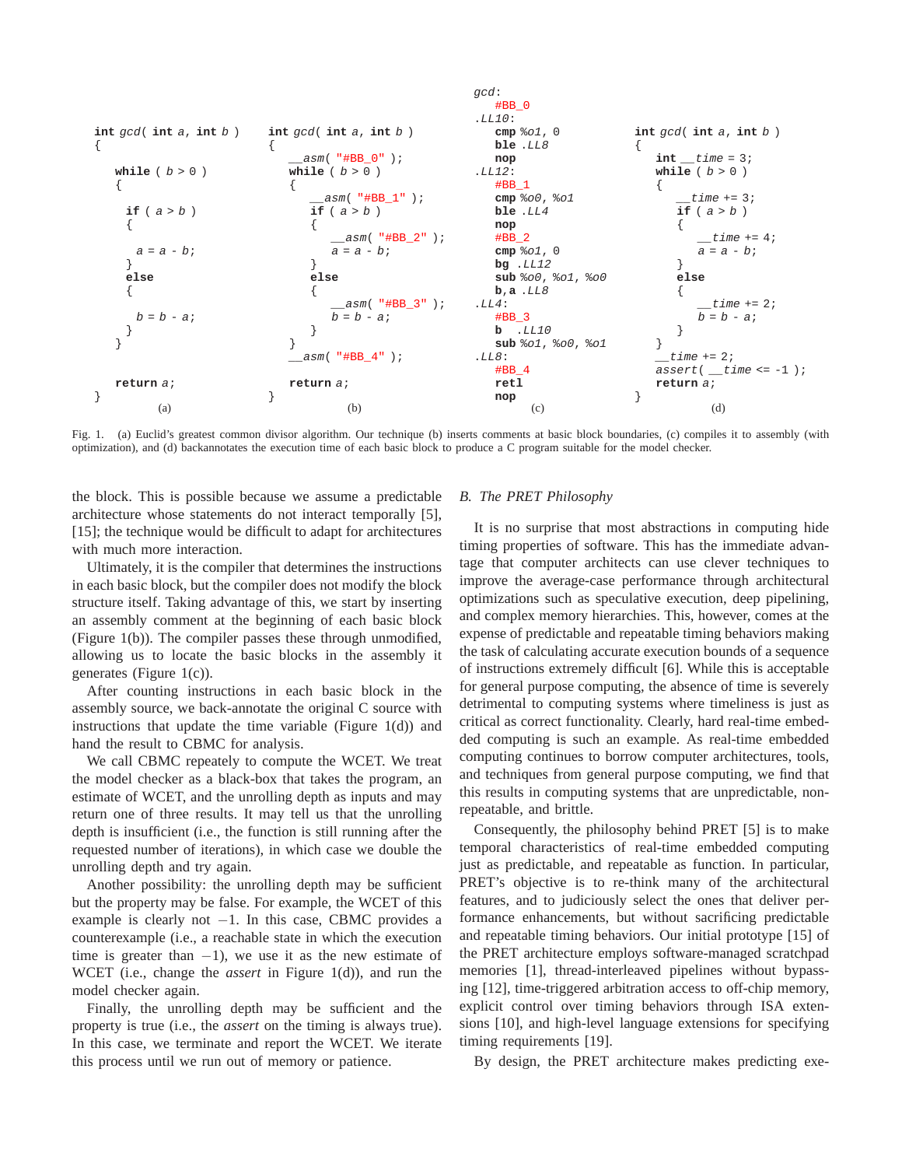

Fig. 1. (a) Euclid's greatest common divisor algorithm. Our technique (b) inserts comments at basic block boundaries, (c) compiles it to assembly (with optimization), and (d) backannotates the execution time of each basic block to produce a C program suitable for the model checker.

the block. This is possible because we assume a predictable architecture whose statements do not interact temporally [5], [15]; the technique would be difficult to adapt for architectures with much more interaction.

Ultimately, it is the compiler that determines the instructions in each basic block, but the compiler does not modify the block structure itself. Taking advantage of this, we start by inserting an assembly comment at the beginning of each basic block (Figure 1(b)). The compiler passes these through unmodified, allowing us to locate the basic blocks in the assembly it generates (Figure 1(c)).

After counting instructions in each basic block in the assembly source, we back-annotate the original C source with instructions that update the time variable (Figure  $1(d)$ ) and hand the result to CBMC for analysis.

We call CBMC repeately to compute the WCET. We treat the model checker as a black-box that takes the program, an estimate of WCET, and the unrolling depth as inputs and may return one of three results. It may tell us that the unrolling depth is insufficient (i.e., the function is still running after the requested number of iterations), in which case we double the unrolling depth and try again.

Another possibility: the unrolling depth may be sufficient but the property may be false. For example, the WCET of this example is clearly not  $-1$ . In this case, CBMC provides a counterexample (i.e., a reachable state in which the execution time is greater than  $-1$ ), we use it as the new estimate of WCET (i.e., change the *assert* in Figure 1(d)), and run the model checker again.

Finally, the unrolling depth may be sufficient and the property is true (i.e., the *assert* on the timing is always true). In this case, we terminate and report the WCET. We iterate this process until we run out of memory or patience.

### *B. The PRET Philosophy*

It is no surprise that most abstractions in computing hide timing properties of software. This has the immediate advantage that computer architects can use clever techniques to improve the average-case performance through architectural optimizations such as speculative execution, deep pipelining, and complex memory hierarchies. This, however, comes at the expense of predictable and repeatable timing behaviors making the task of calculating accurate execution bounds of a sequence of instructions extremely difficult [6]. While this is acceptable for general purpose computing, the absence of time is severely detrimental to computing systems where timeliness is just as critical as correct functionality. Clearly, hard real-time embedded computing is such an example. As real-time embedded computing continues to borrow computer architectures, tools, and techniques from general purpose computing, we find that this results in computing systems that are unpredictable, nonrepeatable, and brittle.

Consequently, the philosophy behind PRET [5] is to make temporal characteristics of real-time embedded computing just as predictable, and repeatable as function. In particular, PRET's objective is to re-think many of the architectural features, and to judiciously select the ones that deliver performance enhancements, but without sacrificing predictable and repeatable timing behaviors. Our initial prototype [15] of the PRET architecture employs software-managed scratchpad memories [1], thread-interleaved pipelines without bypassing [12], time-triggered arbitration access to off-chip memory, explicit control over timing behaviors through ISA extensions [10], and high-level language extensions for specifying timing requirements [19].

By design, the PRET architecture makes predicting exe-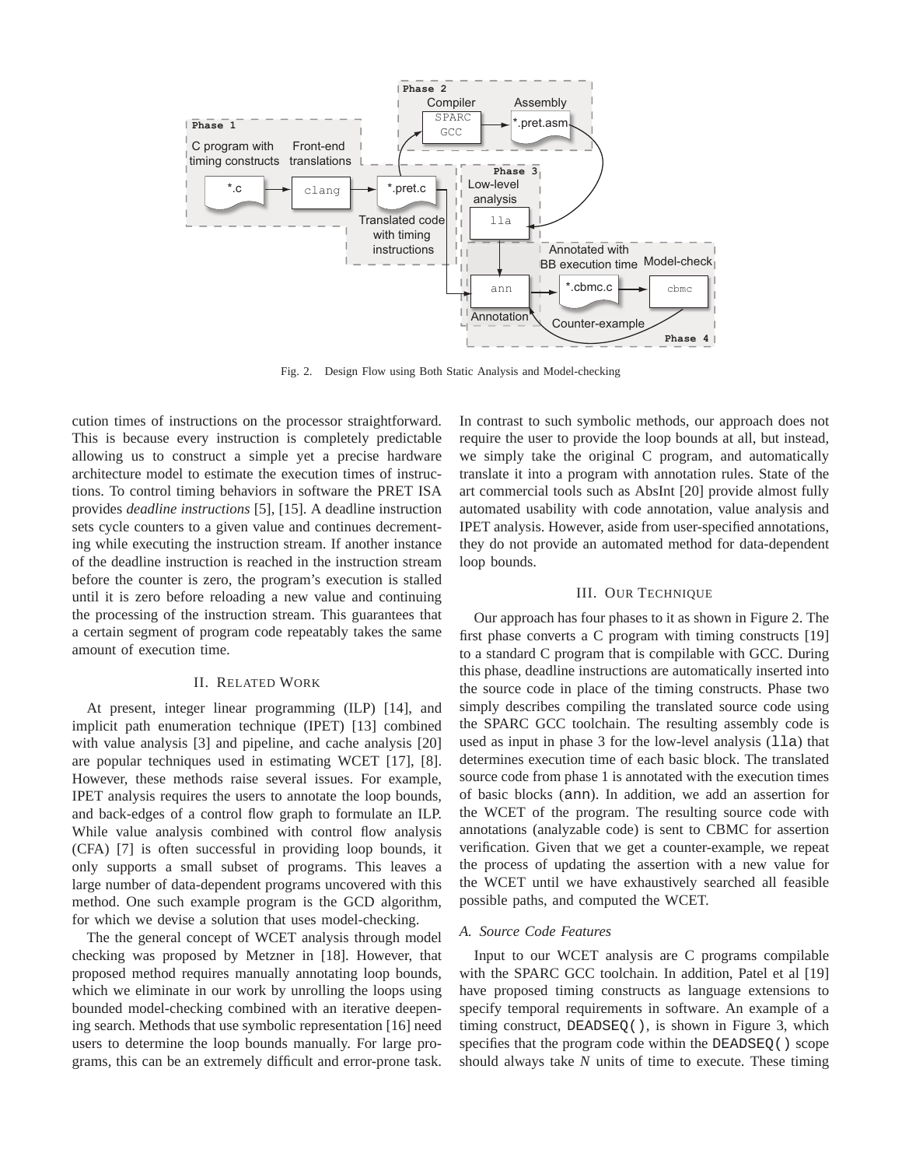

Fig. 2. Design Flow using Both Static Analysis and Model-checking

cution times of instructions on the processor straightforward. This is because every instruction is completely predictable allowing us to construct a simple yet a precise hardware architecture model to estimate the execution times of instructions. To control timing behaviors in software the PRET ISA provides *deadline instructions* [5], [15]. A deadline instruction sets cycle counters to a given value and continues decrementing while executing the instruction stream. If another instance of the deadline instruction is reached in the instruction stream before the counter is zero, the program's execution is stalled until it is zero before reloading a new value and continuing the processing of the instruction stream. This guarantees that a certain segment of program code repeatably takes the same amount of execution time.

## II. RELATED WORK

At present, integer linear programming (ILP) [14], and implicit path enumeration technique (IPET) [13] combined with value analysis [3] and pipeline, and cache analysis [20] are popular techniques used in estimating WCET [17], [8]. However, these methods raise several issues. For example, IPET analysis requires the users to annotate the loop bounds, and back-edges of a control flow graph to formulate an ILP. While value analysis combined with control flow analysis (CFA) [7] is often successful in providing loop bounds, it only supports a small subset of programs. This leaves a large number of data-dependent programs uncovered with this method. One such example program is the GCD algorithm, for which we devise a solution that uses model-checking.

The the general concept of WCET analysis through model checking was proposed by Metzner in [18]. However, that proposed method requires manually annotating loop bounds, which we eliminate in our work by unrolling the loops using bounded model-checking combined with an iterative deepening search. Methods that use symbolic representation [16] need users to determine the loop bounds manually. For large programs, this can be an extremely difficult and error-prone task. In contrast to such symbolic methods, our approach does not require the user to provide the loop bounds at all, but instead, we simply take the original C program, and automatically translate it into a program with annotation rules. State of the art commercial tools such as AbsInt [20] provide almost fully automated usability with code annotation, value analysis and IPET analysis. However, aside from user-specified annotations, they do not provide an automated method for data-dependent loop bounds.

#### III. OUR TECHNIQUE

Our approach has four phases to it as shown in Figure 2. The first phase converts a C program with timing constructs [19] to a standard C program that is compilable with GCC. During this phase, deadline instructions are automatically inserted into the source code in place of the timing constructs. Phase two simply describes compiling the translated source code using the SPARC GCC toolchain. The resulting assembly code is used as input in phase 3 for the low-level analysis (11a) that determines execution time of each basic block. The translated source code from phase 1 is annotated with the execution times of basic blocks (ann). In addition, we add an assertion for the WCET of the program. The resulting source code with annotations (analyzable code) is sent to CBMC for assertion verification. Given that we get a counter-example, we repeat the process of updating the assertion with a new value for the WCET until we have exhaustively searched all feasible possible paths, and computed the WCET.

#### *A. Source Code Features*

Input to our WCET analysis are C programs compilable with the SPARC GCC toolchain. In addition, Patel et al [19] have proposed timing constructs as language extensions to specify temporal requirements in software. An example of a timing construct, DEADSEQ(), is shown in Figure 3, which specifies that the program code within the DEADSEQ() scope should always take *N* units of time to execute. These timing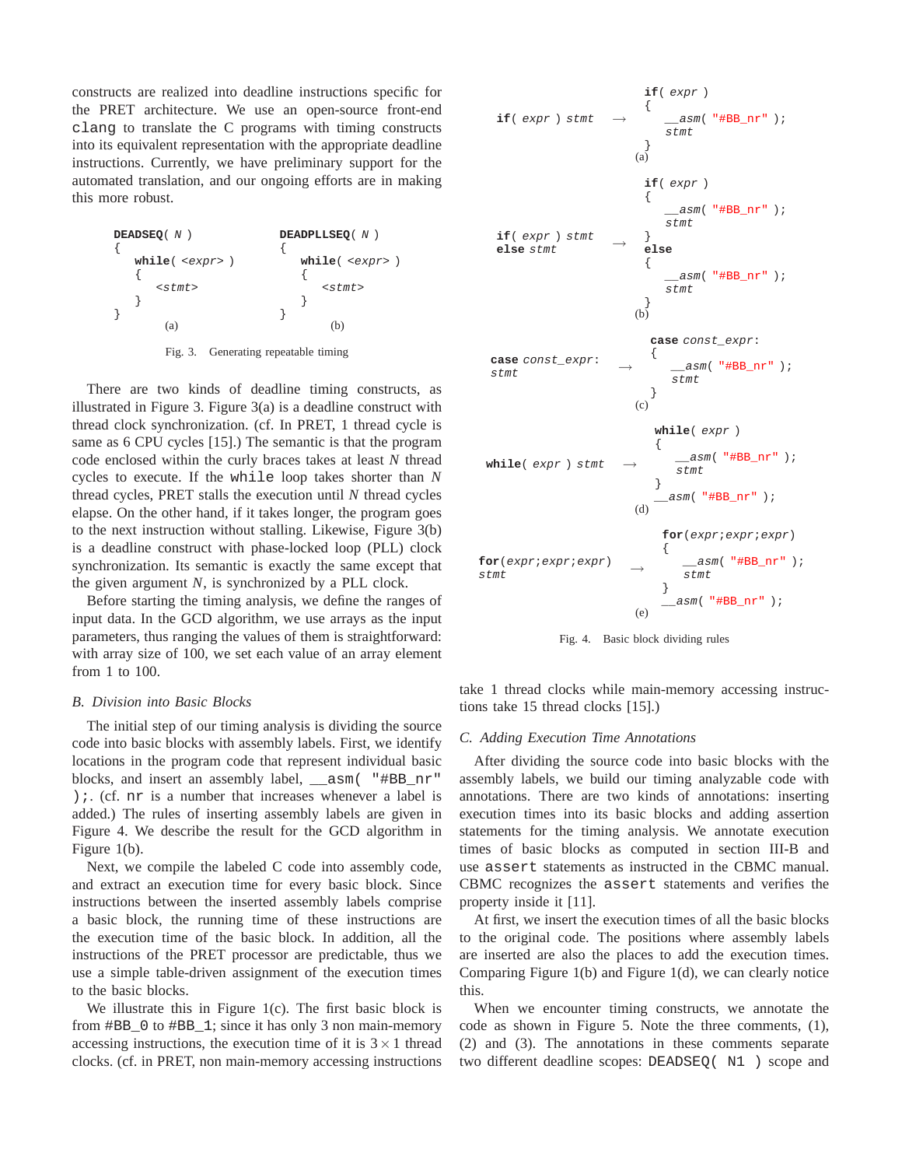constructs are realized into deadline instructions specific for the PRET architecture. We use an open-source front-end clang to translate the C programs with timing constructs into its equivalent representation with the appropriate deadline instructions. Currently, we have preliminary support for the automated translation, and our ongoing efforts are in making this more robust.



Fig. 3. Generating repeatable timing

There are two kinds of deadline timing constructs, as illustrated in Figure 3. Figure 3(a) is a deadline construct with thread clock synchronization. (cf. In PRET, 1 thread cycle is same as 6 CPU cycles [15].) The semantic is that the program code enclosed within the curly braces takes at least *N* thread cycles to execute. If the while loop takes shorter than *N* thread cycles, PRET stalls the execution until *N* thread cycles elapse. On the other hand, if it takes longer, the program goes to the next instruction without stalling. Likewise, Figure 3(b) is a deadline construct with phase-locked loop (PLL) clock synchronization. Its semantic is exactly the same except that the given argument *N*, is synchronized by a PLL clock.

Before starting the timing analysis, we define the ranges of input data. In the GCD algorithm, we use arrays as the input parameters, thus ranging the values of them is straightforward: with array size of 100, we set each value of an array element from 1 to 100.

## *B. Division into Basic Blocks*

The initial step of our timing analysis is dividing the source code into basic blocks with assembly labels. First, we identify locations in the program code that represent individual basic blocks, and insert an assembly label, \_\_asm( "#BB\_nr" );. (cf. nr is a number that increases whenever a label is added.) The rules of inserting assembly labels are given in Figure 4. We describe the result for the GCD algorithm in Figure 1(b).

Next, we compile the labeled C code into assembly code, and extract an execution time for every basic block. Since instructions between the inserted assembly labels comprise a basic block, the running time of these instructions are the execution time of the basic block. In addition, all the instructions of the PRET processor are predictable, thus we use a simple table-driven assignment of the execution times to the basic blocks.

We illustrate this in Figure 1(c). The first basic block is from  $\#BB$  0 to  $\#BB$  1; since it has only 3 non main-memory accessing instructions, the execution time of it is  $3 \times 1$  thread clocks. (cf. in PRET, non main-memory accessing instructions



Fig. 4. Basic block dividing rules

take 1 thread clocks while main-memory accessing instructions take 15 thread clocks [15].)

#### *C. Adding Execution Time Annotations*

After dividing the source code into basic blocks with the assembly labels, we build our timing analyzable code with annotations. There are two kinds of annotations: inserting execution times into its basic blocks and adding assertion statements for the timing analysis. We annotate execution times of basic blocks as computed in section III-B and use assert statements as instructed in the CBMC manual. CBMC recognizes the assert statements and verifies the property inside it [11].

At first, we insert the execution times of all the basic blocks to the original code. The positions where assembly labels are inserted are also the places to add the execution times. Comparing Figure 1(b) and Figure 1(d), we can clearly notice this.

When we encounter timing constructs, we annotate the code as shown in Figure 5. Note the three comments, (1), (2) and (3). The annotations in these comments separate two different deadline scopes: DEADSEQ( N1 ) scope and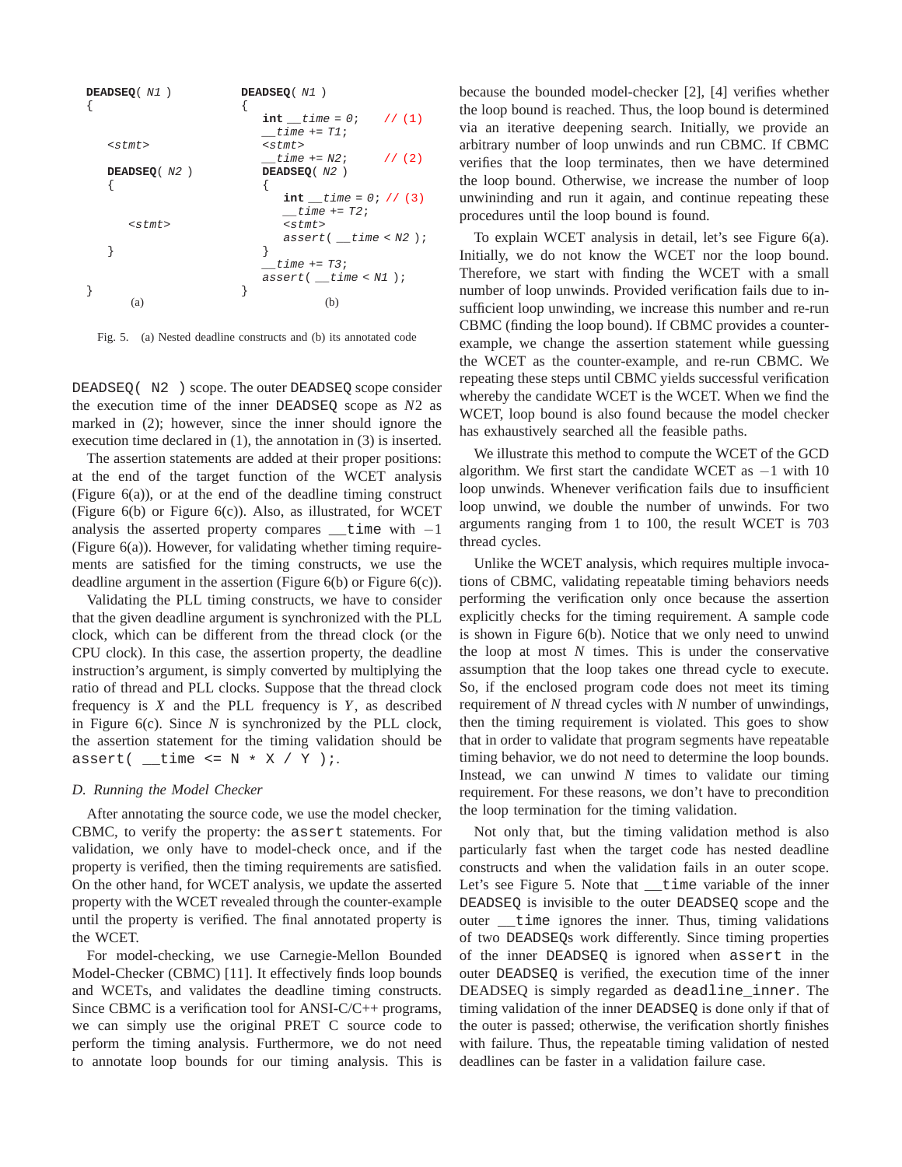

Fig. 5. (a) Nested deadline constructs and (b) its annotated code

DEADSEQ( N2 ) scope. The outer DEADSEQ scope consider the execution time of the inner DEADSEQ scope as *N*2 as marked in (2); however, since the inner should ignore the execution time declared in (1), the annotation in (3) is inserted.

The assertion statements are added at their proper positions: at the end of the target function of the WCET analysis (Figure  $6(a)$ ), or at the end of the deadline timing construct (Figure 6(b) or Figure 6(c)). Also, as illustrated, for WCET analysis the asserted property compares \_time with  $-1$ (Figure 6(a)). However, for validating whether timing requirements are satisfied for the timing constructs, we use the deadline argument in the assertion (Figure  $6(b)$  or Figure  $6(c)$ ).

Validating the PLL timing constructs, we have to consider that the given deadline argument is synchronized with the PLL clock, which can be different from the thread clock (or the CPU clock). In this case, the assertion property, the deadline instruction's argument, is simply converted by multiplying the ratio of thread and PLL clocks. Suppose that the thread clock frequency is *X* and the PLL frequency is *Y*, as described in Figure 6(c). Since *N* is synchronized by the PLL clock, the assertion statement for the timing validation should be  $assert($  \_\_time <= N \* X / Y );

### *D. Running the Model Checker*

After annotating the source code, we use the model checker, CBMC, to verify the property: the assert statements. For validation, we only have to model-check once, and if the property is verified, then the timing requirements are satisfied. On the other hand, for WCET analysis, we update the asserted property with the WCET revealed through the counter-example until the property is verified. The final annotated property is the WCET.

For model-checking, we use Carnegie-Mellon Bounded Model-Checker (CBMC) [11]. It effectively finds loop bounds and WCETs, and validates the deadline timing constructs. Since CBMC is a verification tool for ANSI-C/C++ programs, we can simply use the original PRET C source code to perform the timing analysis. Furthermore, we do not need to annotate loop bounds for our timing analysis. This is because the bounded model-checker [2], [4] verifies whether the loop bound is reached. Thus, the loop bound is determined via an iterative deepening search. Initially, we provide an arbitrary number of loop unwinds and run CBMC. If CBMC verifies that the loop terminates, then we have determined the loop bound. Otherwise, we increase the number of loop unwininding and run it again, and continue repeating these procedures until the loop bound is found.

To explain WCET analysis in detail, let's see Figure 6(a). Initially, we do not know the WCET nor the loop bound. Therefore, we start with finding the WCET with a small number of loop unwinds. Provided verification fails due to insufficient loop unwinding, we increase this number and re-run CBMC (finding the loop bound). If CBMC provides a counterexample, we change the assertion statement while guessing the WCET as the counter-example, and re-run CBMC. We repeating these steps until CBMC yields successful verification whereby the candidate WCET is the WCET. When we find the WCET, loop bound is also found because the model checker has exhaustively searched all the feasible paths.

We illustrate this method to compute the WCET of the GCD algorithm. We first start the candidate WCET as  $-1$  with 10 loop unwinds. Whenever verification fails due to insufficient loop unwind, we double the number of unwinds. For two arguments ranging from 1 to 100, the result WCET is 703 thread cycles.

Unlike the WCET analysis, which requires multiple invocations of CBMC, validating repeatable timing behaviors needs performing the verification only once because the assertion explicitly checks for the timing requirement. A sample code is shown in Figure 6(b). Notice that we only need to unwind the loop at most *N* times. This is under the conservative assumption that the loop takes one thread cycle to execute. So, if the enclosed program code does not meet its timing requirement of *N* thread cycles with *N* number of unwindings, then the timing requirement is violated. This goes to show that in order to validate that program segments have repeatable timing behavior, we do not need to determine the loop bounds. Instead, we can unwind *N* times to validate our timing requirement. For these reasons, we don't have to precondition the loop termination for the timing validation.

Not only that, but the timing validation method is also particularly fast when the target code has nested deadline constructs and when the validation fails in an outer scope. Let's see Figure 5. Note that time variable of the inner DEADSEQ is invisible to the outer DEADSEQ scope and the outer \_\_time ignores the inner. Thus, timing validations of two DEADSEQs work differently. Since timing properties of the inner DEADSEQ is ignored when assert in the outer DEADSEQ is verified, the execution time of the inner DEADSEQ is simply regarded as deadline\_inner. The timing validation of the inner DEADSEQ is done only if that of the outer is passed; otherwise, the verification shortly finishes with failure. Thus, the repeatable timing validation of nested deadlines can be faster in a validation failure case.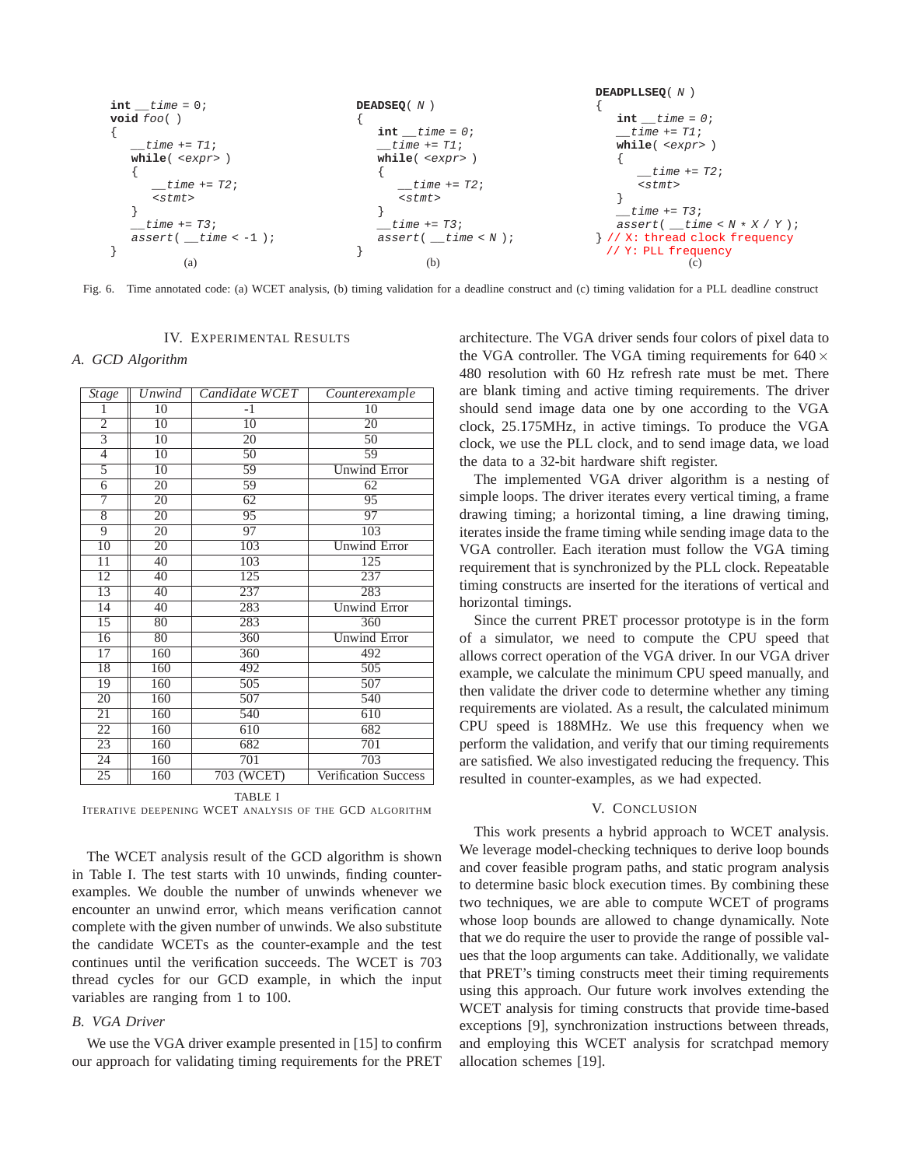**int** \_\_time = 0; **void** foo( ) { \_\_time += T1; **while**( <expr> ) { \_\_time += T2; <stmt> } \_\_time += T3; assert( \_\_time < -1 ); } (a) **DEADSEQ**( N ) { **int** \_\_time = 0; \_\_time += T1; **while**( <expr> ) { \_\_time += T2; <stmt> } \_\_time += T3; assert( \_\_time < N ); } (b) **DEADPLLSEQ**( N ) { **int** \_\_time = 0; \_\_time += T1; **while**( <expr> ) { \_\_time += T2; <stmt> } \_\_time += T3; assert( \_\_time < N \* X / Y ); } // X: thread clock frequency // Y: PLL frequency (c)

Fig. 6. Time annotated code: (a) WCET analysis, (b) timing validation for a deadline construct and (c) timing validation for a PLL deadline construct

# IV. EXPERIMENTAL RESULTS

*A. GCD Algorithm*

| Stage           | <b>Unwind</b>   | Candidate WCET  | Counterexample       |
|-----------------|-----------------|-----------------|----------------------|
| 1               | $\overline{10}$ | $-1$            | $\overline{10}$      |
| $\overline{2}$  | $\overline{10}$ | $\overline{10}$ | 20                   |
| $\overline{3}$  | $\overline{10}$ | 20              | $\overline{50}$      |
| $\overline{4}$  | 10              | 50              | 59                   |
| $\overline{5}$  | $\overline{10}$ | 59              | <b>Unwind Error</b>  |
| $\overline{6}$  | $\overline{20}$ | 59              | 62                   |
| 7               | 20              | 62              | 95                   |
| $\overline{8}$  | $\overline{20}$ | 95              | 97                   |
| $\overline{9}$  | 20              | $\overline{97}$ | 103                  |
| 10              | 20              | 103             | <b>Unwind Error</b>  |
| $\overline{11}$ | 40              | 103             | 125                  |
| 12              | 40              | 125             | 237                  |
| 13              | $\overline{40}$ | 237             | 283                  |
| $\overline{14}$ | $\overline{40}$ | 283             | <b>Unwind Error</b>  |
| $\overline{15}$ | 80              | 283             | 360                  |
| $\overline{16}$ | 80              | 360             | <b>Unwind Error</b>  |
| 17              | 160             | 360             | 492                  |
| 18              | 160             | 492             | 505                  |
| 19              | 160             | 505             | 507                  |
| $\overline{20}$ | 160             | 507             | 540                  |
| $\overline{21}$ | 160             | 540             | 610                  |
| $\overline{22}$ | 160             | 610             | 682                  |
| $\overline{23}$ | 160             | 682             | 701                  |
| 24              | 160             | 701             | 703                  |
| 25              | 160             | 703 (WCET)      | Verification Success |

TABLE I ITERATIVE DEEPENING WCET ANALYSIS OF THE GCD ALGORITHM

The WCET analysis result of the GCD algorithm is shown in Table I. The test starts with 10 unwinds, finding counterexamples. We double the number of unwinds whenever we encounter an unwind error, which means verification cannot complete with the given number of unwinds. We also substitute the candidate WCETs as the counter-example and the test continues until the verification succeeds. The WCET is 703 thread cycles for our GCD example, in which the input variables are ranging from 1 to 100.

#### *B. VGA Driver*

We use the VGA driver example presented in [15] to confirm our approach for validating timing requirements for the PRET

architecture. The VGA driver sends four colors of pixel data to the VGA controller. The VGA timing requirements for  $640 \times$ 480 resolution with 60 Hz refresh rate must be met. There are blank timing and active timing requirements. The driver should send image data one by one according to the VGA clock, 25.175MHz, in active timings. To produce the VGA clock, we use the PLL clock, and to send image data, we load the data to a 32-bit hardware shift register.

The implemented VGA driver algorithm is a nesting of simple loops. The driver iterates every vertical timing, a frame drawing timing; a horizontal timing, a line drawing timing, iterates inside the frame timing while sending image data to the VGA controller. Each iteration must follow the VGA timing requirement that is synchronized by the PLL clock. Repeatable timing constructs are inserted for the iterations of vertical and horizontal timings.

Since the current PRET processor prototype is in the form of a simulator, we need to compute the CPU speed that allows correct operation of the VGA driver. In our VGA driver example, we calculate the minimum CPU speed manually, and then validate the driver code to determine whether any timing requirements are violated. As a result, the calculated minimum CPU speed is 188MHz. We use this frequency when we perform the validation, and verify that our timing requirements are satisfied. We also investigated reducing the frequency. This resulted in counter-examples, as we had expected.

### V. CONCLUSION

This work presents a hybrid approach to WCET analysis. We leverage model-checking techniques to derive loop bounds and cover feasible program paths, and static program analysis to determine basic block execution times. By combining these two techniques, we are able to compute WCET of programs whose loop bounds are allowed to change dynamically. Note that we do require the user to provide the range of possible values that the loop arguments can take. Additionally, we validate that PRET's timing constructs meet their timing requirements using this approach. Our future work involves extending the WCET analysis for timing constructs that provide time-based exceptions [9], synchronization instructions between threads, and employing this WCET analysis for scratchpad memory allocation schemes [19].